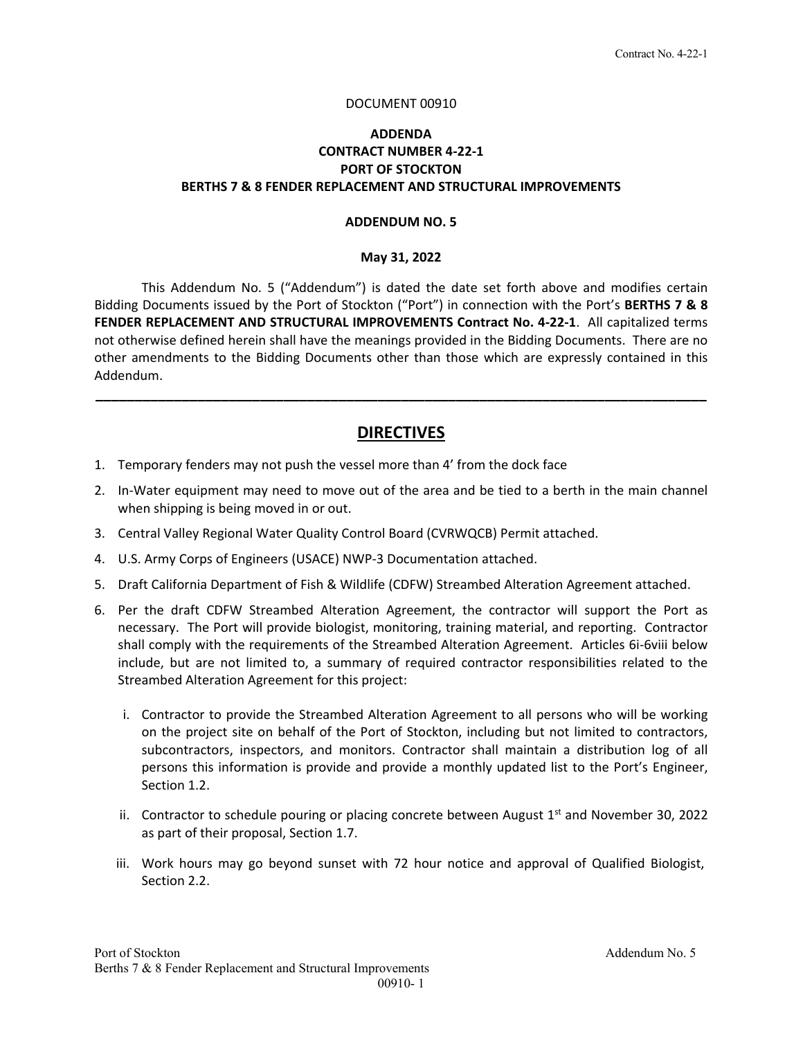#### DOCUMENT 00910

### **ADDENDA CONTRACT NUMBER 4‐22‐1 PORT OF STOCKTON BERTHS 7 & 8 FENDER REPLACEMENT AND STRUCTURAL IMPROVEMENTS**

#### **ADDENDUM NO. 5**

#### **May 31, 2022**

 This Addendum No. 5 ("Addendum") is dated the date set forth above and modifies certain Bidding Documents issued by the Port of Stockton ("Port") in connection with the Port's **BERTHS 7 & 8 FENDER REPLACEMENT AND STRUCTURAL IMPROVEMENTS Contract No. 4‐22‐1**. All capitalized terms not otherwise defined herein shall have the meanings provided in the Bidding Documents. There are no other amendments to the Bidding Documents other than those which are expressly contained in this Addendum.

## **DIRECTIVES**

**\_\_\_\_\_\_\_\_\_\_\_\_\_\_\_\_\_\_\_\_\_\_\_\_\_\_\_\_\_\_\_\_\_\_\_\_\_\_\_\_\_\_\_\_\_\_\_\_\_\_\_\_\_\_\_\_\_\_\_\_\_\_\_\_\_\_\_\_\_\_\_\_\_\_\_\_\_\_** 

- 1. Temporary fenders may not push the vessel more than 4' from the dock face
- 2. In‐Water equipment may need to move out of the area and be tied to a berth in the main channel when shipping is being moved in or out.
- 3. Central Valley Regional Water Quality Control Board (CVRWQCB) Permit attached.
- 4. U.S. Army Corps of Engineers (USACE) NWP‐3 Documentation attached.
- 5. Draft California Department of Fish & Wildlife (CDFW) Streambed Alteration Agreement attached.
- 6. Per the draft CDFW Streambed Alteration Agreement, the contractor will support the Port as necessary. The Port will provide biologist, monitoring, training material, and reporting. Contractor shall comply with the requirements of the Streambed Alteration Agreement. Articles 6i‐6viii below include, but are not limited to, a summary of required contractor responsibilities related to the Streambed Alteration Agreement for this project:
	- i. Contractor to provide the Streambed Alteration Agreement to all persons who will be working on the project site on behalf of the Port of Stockton, including but not limited to contractors, subcontractors, inspectors, and monitors. Contractor shall maintain a distribution log of all persons this information is provide and provide a monthly updated list to the Port's Engineer, Section 1.2.
	- ii. Contractor to schedule pouring or placing concrete between August  $1<sup>st</sup>$  and November 30, 2022 as part of their proposal, Section 1.7.
	- iii. Work hours may go beyond sunset with 72 hour notice and approval of Qualified Biologist, Section 2.2.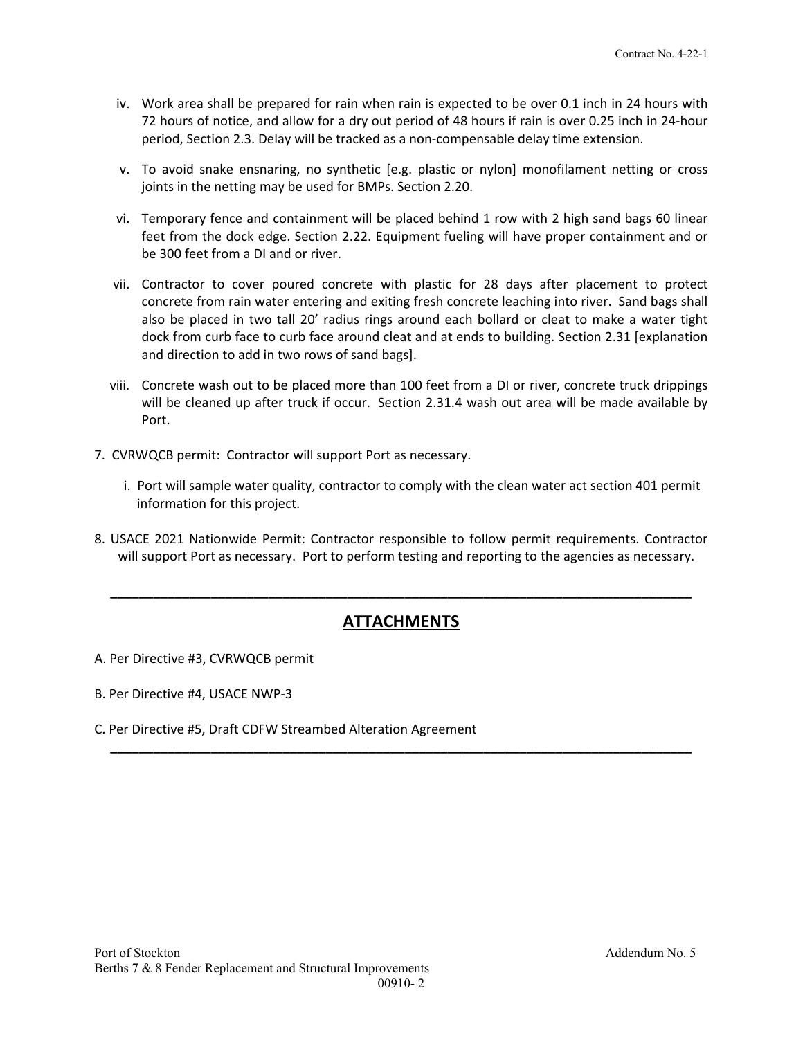- iv. Work area shall be prepared for rain when rain is expected to be over 0.1 inch in 24 hours with 72 hours of notice, and allow for a dry out period of 48 hours if rain is over 0.25 inch in 24‐hour period, Section 2.3. Delay will be tracked as a non‐compensable delay time extension.
- v. To avoid snake ensnaring, no synthetic [e.g. plastic or nylon] monofilament netting or cross joints in the netting may be used for BMPs. Section 2.20.
- vi. Temporary fence and containment will be placed behind 1 row with 2 high sand bags 60 linear feet from the dock edge. Section 2.22. Equipment fueling will have proper containment and or be 300 feet from a DI and or river.
- vii. Contractor to cover poured concrete with plastic for 28 days after placement to protect concrete from rain water entering and exiting fresh concrete leaching into river. Sand bags shall also be placed in two tall 20' radius rings around each bollard or cleat to make a water tight dock from curb face to curb face around cleat and at ends to building. Section 2.31 [explanation and direction to add in two rows of sand bags].
- viii. Concrete wash out to be placed more than 100 feet from a DI or river, concrete truck drippings will be cleaned up after truck if occur. Section 2.31.4 wash out area will be made available by Port.
- 7. CVRWQCB permit: Contractor will support Port as necessary.
	- i. Port will sample water quality, contractor to comply with the clean water act section 401 permit information for this project.
- 8. USACE 2021 Nationwide Permit: Contractor responsible to follow permit requirements. Contractor will support Port as necessary. Port to perform testing and reporting to the agencies as necessary.

# **ATTACHMENTS**

**\_\_\_\_\_\_\_\_\_\_\_\_\_\_\_\_\_\_\_\_\_\_\_\_\_\_\_\_\_\_\_\_\_\_\_\_\_\_\_\_\_\_\_\_\_\_\_\_\_\_\_\_\_\_\_\_\_\_\_\_\_\_\_\_\_\_\_\_\_\_\_\_\_\_\_\_\_\_\_\_\_**

**\_\_\_\_\_\_\_\_\_\_\_\_\_\_\_\_\_\_\_\_\_\_\_\_\_\_\_\_\_\_\_\_\_\_\_\_\_\_\_\_\_\_\_\_\_\_\_\_\_\_\_\_\_\_\_\_\_\_\_\_\_\_\_\_\_\_\_\_\_\_\_\_\_\_\_\_\_\_\_\_\_**

- A. Per Directive #3, CVRWQCB permit
- B. Per Directive #4, USACE NWP‐3
- C. Per Directive #5, Draft CDFW Streambed Alteration Agreement